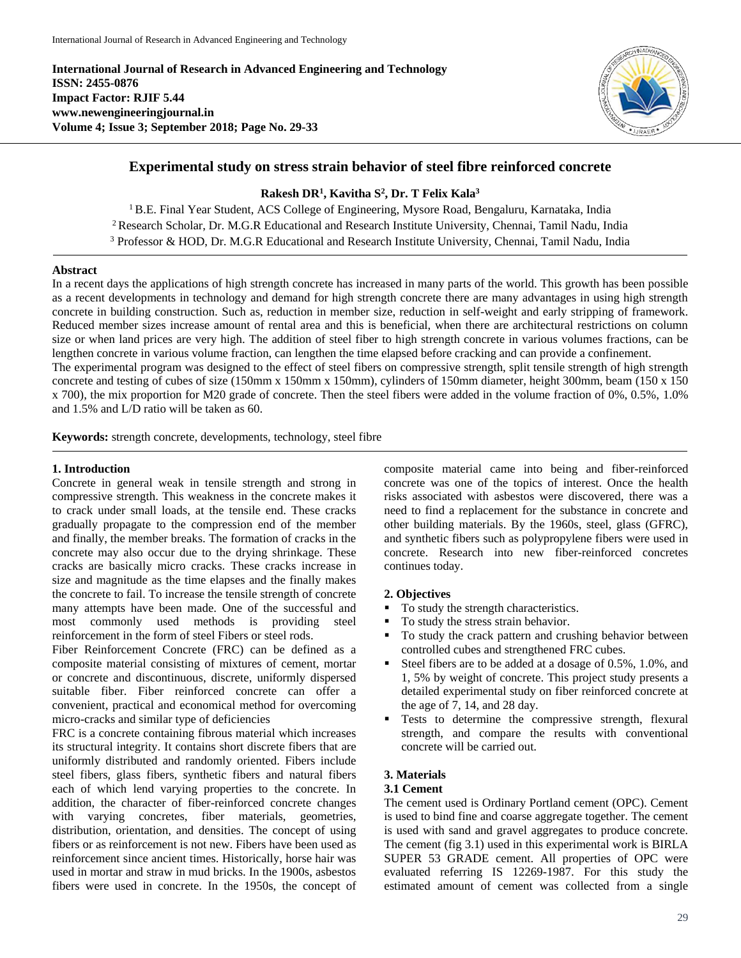**International Journal of Research in Advanced Engineering and Technology ISSN: 2455-0876 Impact Factor: RJIF 5.44 www.newengineeringjournal.in Volume 4; Issue 3; September 2018; Page No. 29-33**



# **Experimental study on stress strain behavior of steel fibre reinforced concrete**

## **Rakesh DR<sup>1</sup> , Kavitha S 2 , Dr. T Felix Kala<sup>3</sup>**

<sup>1</sup> B.E. Final Year Student, ACS College of Engineering, Mysore Road, Bengaluru, Karnataka, India <sup>2</sup> Research Scholar, Dr. M.G.R Educational and Research Institute University, Chennai, Tamil Nadu, India <sup>3</sup> Professor & HOD, Dr. M.G.R Educational and Research Institute University, Chennai, Tamil Nadu, India

### **Abstract**

In a recent days the applications of high strength concrete has increased in many parts of the world. This growth has been possible as a recent developments in technology and demand for high strength concrete there are many advantages in using high strength concrete in building construction. Such as, reduction in member size, reduction in self-weight and early stripping of framework. Reduced member sizes increase amount of rental area and this is beneficial, when there are architectural restrictions on column size or when land prices are very high. The addition of steel fiber to high strength concrete in various volumes fractions, can be lengthen concrete in various volume fraction, can lengthen the time elapsed before cracking and can provide a confinement. The experimental program was designed to the effect of steel fibers on compressive strength, split tensile strength of high strength

concrete and testing of cubes of size (150mm x 150mm x 150mm), cylinders of 150mm diameter, height 300mm, beam (150 x 150 x 700), the mix proportion for M20 grade of concrete. Then the steel fibers were added in the volume fraction of 0%, 0.5%, 1.0% and 1.5% and L/D ratio will be taken as 60.

**Keywords:** strength concrete, developments, technology, steel fibre

### **1. Introduction**

Concrete in general weak in tensile strength and strong in compressive strength. This weakness in the concrete makes it to crack under small loads, at the tensile end. These cracks gradually propagate to the compression end of the member and finally, the member breaks. The formation of cracks in the concrete may also occur due to the drying shrinkage. These cracks are basically micro cracks. These cracks increase in size and magnitude as the time elapses and the finally makes the concrete to fail. To increase the tensile strength of concrete many attempts have been made. One of the successful and most commonly used methods is providing steel reinforcement in the form of steel Fibers or steel rods.

Fiber Reinforcement Concrete (FRC) can be defined as a composite material consisting of mixtures of cement, mortar or concrete and discontinuous, discrete, uniformly dispersed suitable fiber. Fiber reinforced concrete can offer a convenient, practical and economical method for overcoming micro-cracks and similar type of deficiencies

FRC is a concrete containing fibrous material which increases its structural integrity. It contains short discrete fibers that are uniformly distributed and randomly oriented. Fibers include steel fibers, glass fibers, synthetic fibers and natural fibers each of which lend varying properties to the concrete. In addition, the character of fiber-reinforced concrete changes with varying concretes, fiber materials, geometries, distribution, orientation, and densities. The concept of using fibers or as reinforcement is not new. Fibers have been used as reinforcement since ancient times. Historically, horse hair was used in mortar and straw in mud bricks. In the 1900s, asbestos fibers were used in concrete. In the 1950s, the concept of

composite material came into being and fiber-reinforced concrete was one of the topics of interest. Once the health risks associated with asbestos were discovered, there was a need to find a replacement for the substance in concrete and other building materials. By the 1960s, steel, glass (GFRC), and synthetic fibers such as polypropylene fibers were used in concrete. Research into new fiber-reinforced concretes continues today.

## **2. Objectives**

- To study the strength characteristics.
- To study the stress strain behavior.
- To study the crack pattern and crushing behavior between controlled cubes and strengthened FRC cubes.
- Steel fibers are to be added at a dosage of 0.5%, 1.0%, and 1, 5% by weight of concrete. This project study presents a detailed experimental study on fiber reinforced concrete at the age of 7, 14, and 28 day.
- **Tests** to determine the compressive strength, flexural strength, and compare the results with conventional concrete will be carried out.

## **3. Materials**

### **3.1 Cement**

The cement used is Ordinary Portland cement (OPC). Cement is used to bind fine and coarse aggregate together. The cement is used with sand and gravel aggregates to produce concrete. The cement (fig 3.1) used in this experimental work is BIRLA SUPER 53 GRADE cement. All properties of OPC were evaluated referring IS 12269-1987. For this study the estimated amount of cement was collected from a single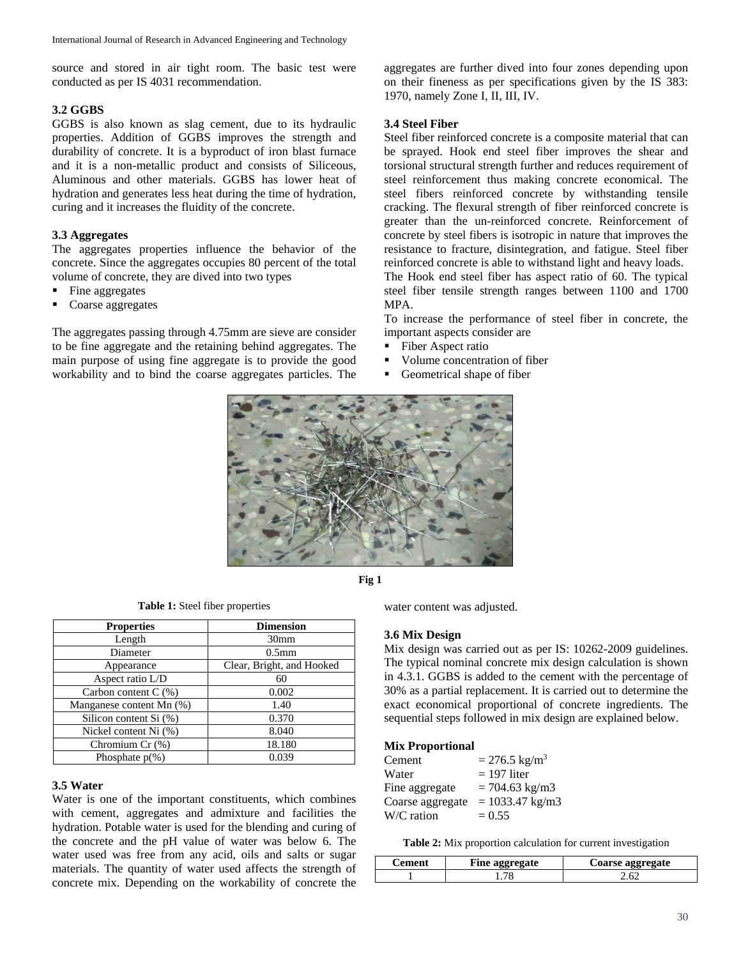source and stored in air tight room. The basic test were conducted as per IS 4031 recommendation.

#### **3.2 GGBS**

GGBS is also known as slag cement, due to its hydraulic properties. Addition of GGBS improves the strength and durability of concrete. It is a byproduct of iron blast furnace and it is a non-metallic product and consists of Siliceous, Aluminous and other materials. GGBS has lower heat of hydration and generates less heat during the time of hydration, curing and it increases the fluidity of the concrete.

### **3.3 Aggregates**

The aggregates properties influence the behavior of the concrete. Since the aggregates occupies 80 percent of the total volume of concrete, they are dived into two types

- Fine aggregates
- Coarse aggregates

The aggregates passing through 4.75mm are sieve are consider to be fine aggregate and the retaining behind aggregates. The main purpose of using fine aggregate is to provide the good workability and to bind the coarse aggregates particles. The

aggregates are further dived into four zones depending upon on their fineness as per specifications given by the IS 383: 1970, namely Zone I, II, III, IV.

#### **3.4 Steel Fiber**

Steel fiber reinforced concrete is a composite material that can be sprayed. Hook end steel fiber improves the shear and torsional structural strength further and reduces requirement of steel reinforcement thus making concrete economical. The steel fibers reinforced concrete by withstanding tensile cracking. The flexural strength of fiber reinforced concrete is greater than the un-reinforced concrete. Reinforcement of concrete by steel fibers is isotropic in nature that improves the resistance to fracture, disintegration, and fatigue. Steel fiber reinforced concrete is able to withstand light and heavy loads.

The Hook end steel fiber has aspect ratio of 60. The typical steel fiber tensile strength ranges between 1100 and 1700 MPA.

To increase the performance of steel fiber in concrete, the important aspects consider are

- Fiber Aspect ratio
- Volume concentration of fiber
- Geometrical shape of fiber





|  |  |  |  | <b>Table 1:</b> Steel fiber properties |
|--|--|--|--|----------------------------------------|
|--|--|--|--|----------------------------------------|

| <b>Properties</b>        | <b>Dimension</b>          |  |  |
|--------------------------|---------------------------|--|--|
| Length                   | 30 <sub>mm</sub>          |  |  |
| Diameter                 | 0.5 <sub>mm</sub>         |  |  |
| Appearance               | Clear, Bright, and Hooked |  |  |
| Aspect ratio L/D         | 60                        |  |  |
| Carbon content $C(\%)$   | 0.002                     |  |  |
| Manganese content Mn (%) | 1.40                      |  |  |
| Silicon content Si (%)   | 0.370                     |  |  |
| Nickel content Ni (%)    | 8.040                     |  |  |
| Chromium Cr (%)          | 18.180                    |  |  |
| Phosphate $p(\%)$        | 0.039                     |  |  |

#### **3.5 Water**

Water is one of the important constituents, which combines with cement, aggregates and admixture and facilities the hydration. Potable water is used for the blending and curing of the concrete and the pH value of water was below 6. The water used was free from any acid, oils and salts or sugar materials. The quantity of water used affects the strength of concrete mix. Depending on the workability of concrete the water content was adjusted.

### **3.6 Mix Design**

Mix design was carried out as per IS: 10262-2009 guidelines. The typical nominal concrete mix design calculation is shown in 4.3.1. GGBS is added to the cement with the percentage of 30% as a partial replacement. It is carried out to determine the exact economical proportional of concrete ingredients. The sequential steps followed in mix design are explained below.

#### **Mix Proportional**

| Cement           | $= 276.5$ kg/m <sup>3</sup> |
|------------------|-----------------------------|
| Water            | $= 197$ liter               |
| Fine aggregate   | $= 704.63$ kg/m3            |
| Coarse aggregate | $= 1033.47$ kg/m3           |
| W/C ration       | $= 0.55$                    |

**Table 2:** Mix proportion calculation for current investigation

| Cement | Fine aggregate | Coarse aggregate |
|--------|----------------|------------------|
|        |                |                  |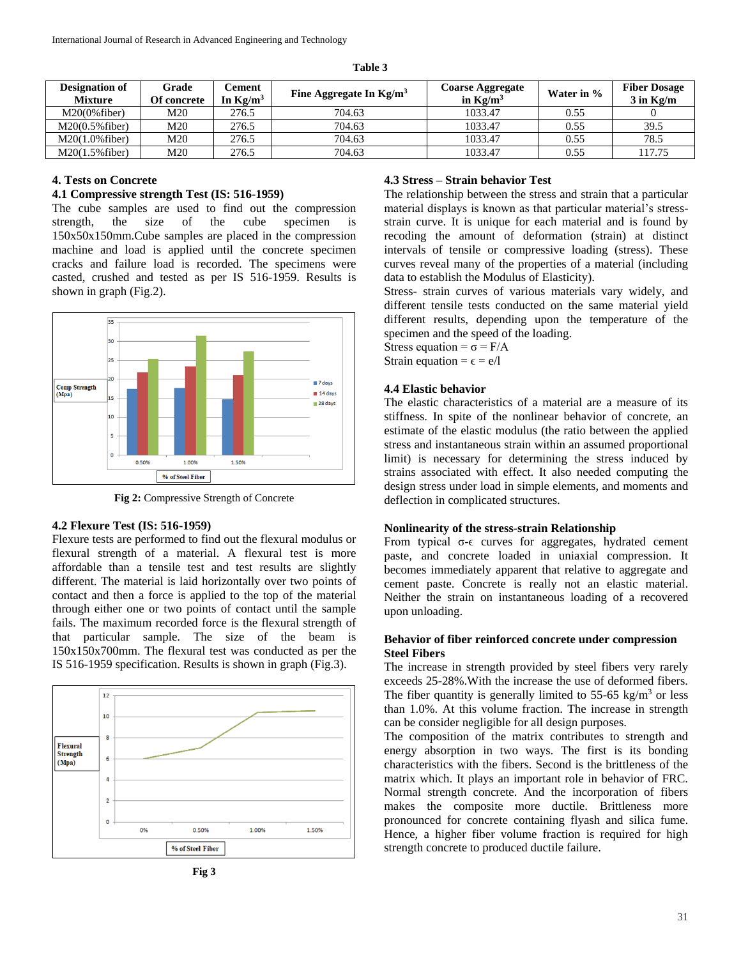| able |  |
|------|--|
|------|--|

| <b>Designation of</b><br><b>Mixture</b> | Grade<br>Of concrete | Cement<br>In $Kg/m^3$ | Fine Aggregate In $Kg/m3$ | <b>Coarse Aggregate</b><br>in $Kg/m^3$ | Water in % | <b>Fiber Dosage</b><br>$3$ in Kg/m |
|-----------------------------------------|----------------------|-----------------------|---------------------------|----------------------------------------|------------|------------------------------------|
| $M20(0\%$ fiber)                        | M20                  | 276.5                 | 704.63                    | 1033.47                                | 0.55       |                                    |
| $M20(0.5\%$ fiber)                      | M20                  | 276.5                 | 704.63                    | 1033.47                                | 0.55       | 39.5                               |
| $M20(1.0\%$ fiber)                      | M20                  | 276.5                 | 704.63                    | 1033.47                                | 0.55       | 78.5                               |
| $M20(1.5\%$ fiber)                      | M20                  | 276.5                 | 704.63                    | 1033.47                                | 0.55       | 117.75                             |

### **4. Tests on Concrete**

#### **4.1 Compressive strength Test (IS: 516-1959)**

The cube samples are used to find out the compression strength, the size of the cube specimen is strength, the size of the cube 150x50x150mm.Cube samples are placed in the compression machine and load is applied until the concrete specimen cracks and failure load is recorded. The specimens were casted, crushed and tested as per IS 516-1959. Results is shown in graph (Fig.2).



**Fig 2:** Compressive Strength of Concrete

## **4.2 Flexure Test (IS: 516-1959)**

Flexure tests are performed to find out the flexural modulus or flexural strength of a material. A flexural test is more affordable than a tensile test and test results are slightly different. The material is laid horizontally over two points of contact and then a force is applied to the top of the material through either one or two points of contact until the sample fails. The maximum recorded force is the flexural strength of that particular sample. The size of the beam is 150x150x700mm. The flexural test was conducted as per the IS 516-1959 specification. Results is shown in graph (Fig.3).





### **4.3 Stress – Strain behavior Test**

The relationship between the stress and strain that a particular material displays is known as that particular material's stressstrain curve. It is unique for each material and is found by recoding the amount of deformation (strain) at distinct intervals of tensile or compressive loading (stress). These curves reveal many of the properties of a material (including data to establish the Modulus of Elasticity).

Stress- strain curves of various materials vary widely, and different tensile tests conducted on the same material yield different results, depending upon the temperature of the specimen and the speed of the loading.

Stress equation =  $\sigma = F/A$ Strain equation =  $\epsilon$  = e/l

## **4.4 Elastic behavior**

The elastic characteristics of a material are a measure of its stiffness. In spite of the nonlinear behavior of concrete, an estimate of the elastic modulus (the ratio between the applied stress and instantaneous strain within an assumed proportional limit) is necessary for determining the stress induced by strains associated with effect. It also needed computing the design stress under load in simple elements, and moments and deflection in complicated structures.

#### **Nonlinearity of the stress-strain Relationship**

From typical σ-ϵ curves for aggregates, hydrated cement paste, and concrete loaded in uniaxial compression. It becomes immediately apparent that relative to aggregate and cement paste. Concrete is really not an elastic material. Neither the strain on instantaneous loading of a recovered upon unloading.

## **Behavior of fiber reinforced concrete under compression Steel Fibers**

The increase in strength provided by steel fibers very rarely exceeds 25-28%.With the increase the use of deformed fibers. The fiber quantity is generally limited to 55-65 kg/m<sup>3</sup> or less than 1.0%. At this volume fraction. The increase in strength can be consider negligible for all design purposes.

The composition of the matrix contributes to strength and energy absorption in two ways. The first is its bonding characteristics with the fibers. Second is the brittleness of the matrix which. It plays an important role in behavior of FRC. Normal strength concrete. And the incorporation of fibers makes the composite more ductile. Brittleness more pronounced for concrete containing flyash and silica fume. Hence, a higher fiber volume fraction is required for high strength concrete to produced ductile failure.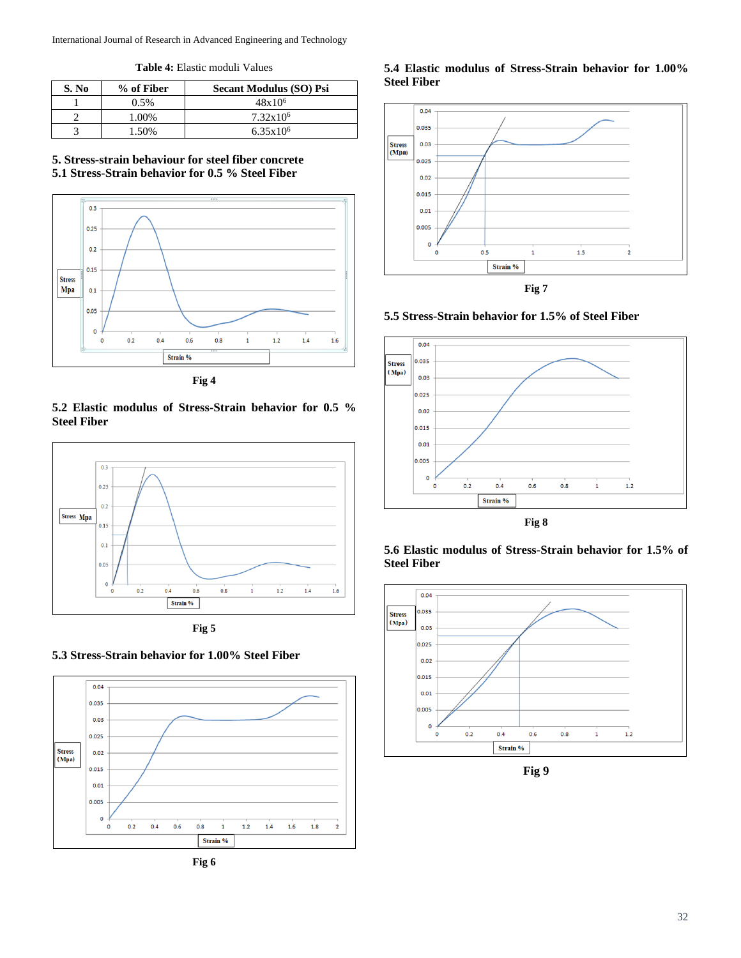International Journal of Research in Advanced Engineering and Technology

**Table 4:** Elastic moduli Values

| S. No | % of Fiber | <b>Secant Modulus (SO) Psi</b> |
|-------|------------|--------------------------------|
|       | $0.5\%$    | $48x10^{6}$                    |
|       | 1.00%      | $7.32 \times 10^6$             |
|       | 1.50%      | $6.35x10^{6}$                  |

## **5. Stress-strain behaviour for steel fiber concrete 5.1 Stress-Strain behavior for 0.5 % Steel Fiber**



**Fig 4**

## **5.2 Elastic modulus of Stress-Strain behavior for 0.5 % Steel Fiber**



**Fig 5**

# **5.3 Stress-Strain behavior for 1.00% Steel Fiber**



**Fig 6**

## **5.4 Elastic modulus of Stress-Strain behavior for 1.00% Steel Fiber**





## **5.5 Stress-Strain behavior for 1.5% of Steel Fiber**



**Fig 8**





**Fig 9**